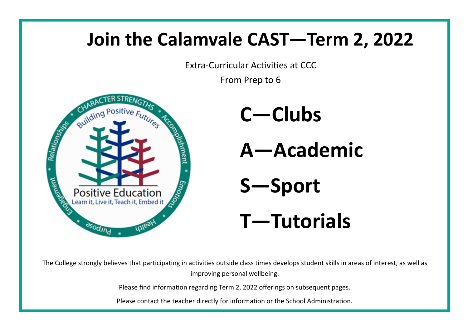# **Join the Calamvale CAST—Term 2, 2022**

Extra-Curricular Activities at CCC

From Prep to 6



**C—Clubs A—Academic S—Sport T—Tutorials**

The College strongly believes that participating in activities outside class times develops student skills in areas of interest, as well as improving personal wellbeing.

Please find information regarding Term 2, 2022 offerings on subsequent pages.

Please contact the teacher directly for information or the School Administration.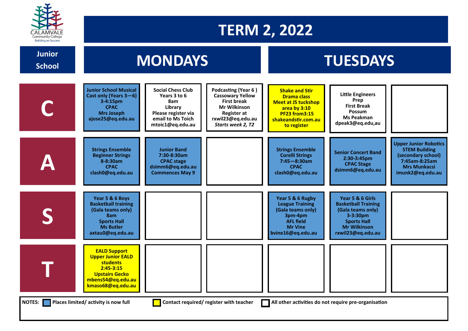

## **TERM 2, 2022**

**School**

# **School MONDAYS TUESDAYS**

|                                                                                                                                                          | <b>Junior School Musical</b><br>Cast only (Years 3-6)<br>3-4:15pm<br><b>CPAC</b><br><b>Mrs Joseph</b><br>ajose25@eq.edu.au                             | <b>Social Chess Club</b><br>Years 3 to 6<br>8am<br>Library<br>Please register via<br>email to Ms Toich<br>mtoic1@eq.edu.au | Podcasting (Year 6)<br><b>Cassowary Yellow</b><br><b>First break</b><br><b>Mr Wilkinson</b><br><b>Register at</b><br>rxwil23@eq.edu.au<br>Starts week 2, T2 | <b>Shake and Stir</b><br><b>Drama class</b><br><b>Meet at JS tuckshop</b><br>area by 3:10<br><b>PF23 from3:15</b><br>shakeandstir.com.au<br>to register | <b>Little Engineers</b><br>Prep<br><b>First Break</b><br><b>Possum</b><br><b>Ms Peakman</b><br>dpeak3@eq.edu,au                                   |                                                                                                                                        |
|----------------------------------------------------------------------------------------------------------------------------------------------------------|--------------------------------------------------------------------------------------------------------------------------------------------------------|----------------------------------------------------------------------------------------------------------------------------|-------------------------------------------------------------------------------------------------------------------------------------------------------------|---------------------------------------------------------------------------------------------------------------------------------------------------------|---------------------------------------------------------------------------------------------------------------------------------------------------|----------------------------------------------------------------------------------------------------------------------------------------|
|                                                                                                                                                          | <b>Strings Ensemble</b><br><b>Beginner Strings</b><br>8-8:30am<br><b>CPAC</b><br>clash0@eq.edu.au                                                      | <b>Junior Band</b><br>7:30-8:30am<br><b>CPAC</b> stage<br>dsimm6@eq.edu.au<br><b>Commences May 9</b>                       |                                                                                                                                                             | <b>Strings Ensemble</b><br><b>Corelli Strings</b><br>$7:45 - 8:30$ am<br><b>CPAC</b><br>clash0@eq.edu.au                                                | <b>Senior Concert Band</b><br>2:30-3:45pm<br><b>CPAC Stage</b><br>dsimm6@eq.edu.au                                                                | <b>Upper Junior Robotics</b><br><b>STEM Building</b><br>(secondary school)<br>7:45am-8:25am<br><b>Mrs Munkacsi</b><br>imunk2@eq.edu.au |
|                                                                                                                                                          | Year 5 & 6 Boys<br><b>Basketball training</b><br>(Gala teams only)<br>8am<br><b>Sports Hall</b><br><b>Ms Butler</b><br>axtau0@eq.edu.au                |                                                                                                                            |                                                                                                                                                             | Year 5 & 6 Rugby<br><b>League Training</b><br>(Gala teams only)<br>3pm-4pm<br><b>AFL field</b><br><b>Mr Vine</b><br>bvine16@eq.edu.au                   | Year 5 & 6 Girls<br><b>Basketball Training</b><br>(Gala teams only)<br>3-3:30pm<br><b>Sports Hall</b><br><b>Mr Wilkinson</b><br>rxwil23@eq.edu.au |                                                                                                                                        |
|                                                                                                                                                          | <b>EALD Support</b><br><b>Upper Junior EALD</b><br><b>students</b><br>$2:45 - 3:15$<br><b>Upstairs Gecko</b><br>mbens54@eq.edu.au<br>kmaso68@eq.edu.au |                                                                                                                            |                                                                                                                                                             |                                                                                                                                                         |                                                                                                                                                   |                                                                                                                                        |
| Places limited/ activity is now full<br>Contact required/ register with teacher<br><b>NOTES:</b><br>All other activities do not require pre-organisation |                                                                                                                                                        |                                                                                                                            |                                                                                                                                                             |                                                                                                                                                         |                                                                                                                                                   |                                                                                                                                        |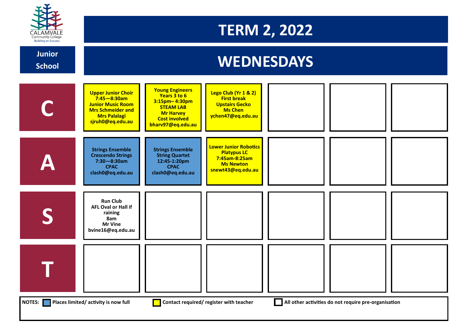

### **TERM 2, 2022**

#### **C A S T Upper Junior Choir 7:45—8:30am Junior Music Room Mrs Schmeider and Mrs Palalagi sjruh0@eq.edu.au Young Engineers Years 3 to 6 3:15pm– 4:30pm STEAM LAB Mr Harvey Cost involved bharv97@eq.edu.au Lego Club (Yr 1 & 2) First break Upstairs Gecko Ms Chen ychen47@eq.edu.au Strings Ensemble Crescendo Strings 7:30—8:30am CPAC clash0@eq.edu.au Strings Ensemble String Quartet 12:45-1:20pm CPAC clash0@eq.edu.au Lower Junior Robotics Platypus LC 7:45am-8:25am Ms Newton snewt43@eq.edu.au Run Club AFL Oval or Hall if raining 8am Mr Vine bvine16@eq.edu.au** *MEDNESDAYS* **School NOTES:** Places limited/ activity is now full **Place in the Contact required/ register with teacher <b>All other activities do not require pre**-organisation